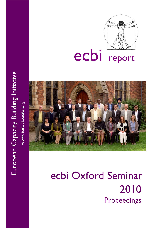

# ecbi report



# ecbi Oxford Seminar 2010 Proceedings

European Capacity Building Initiative European Capacity Building Initiative www.eurocapacity.org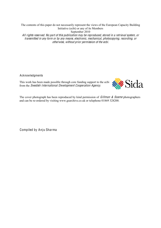The contents of this paper do not necessarily represent the views of the European Capacity Building Initiative (ecbi) or any of its Members September 2010 All rights <sup>r</sup>eserved. No part <sup>o</sup>f thi<sup>s</sup> publi<sup>c</sup>ation <sup>m</sup>ay b<sup>e</sup> <sup>r</sup><sup>e</sup>produced, stored in <sup>a</sup> <sup>r</sup>etrieval <sup>s</sup>ystem, or transmitted in any for<sup>m</sup> or by any <sup>m</sup>eans, <sup>e</sup>lectronic, <sup>m</sup>echanical, photo<sup>c</sup>opying, <sup>r</sup>ecording, or <sup>o</sup>therwise, without prior permission <sup>o</sup>f th<sup>e</sup> ecbi.

Acknowledgments

This work has been made possible through core funding support to the ecbi from the Swedish International Dev<sup>e</sup>lopm<sup>e</sup>n<sup>t</sup> Coop<sup>e</sup>ration Ag<sup>e</sup>ncy.



The cover photograph has been reproduced by kind permission of *Gillman & Soame* photographers and can be re-ordered by visiting www.gsarchive.co.uk or telephone 01869 328200.

Compiled by Anju Sharma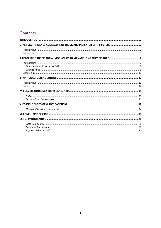# Contents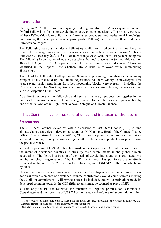#### **Introduction**

Starting in 2005, the European Capacity Building Initiative (ecbi) has organized annual Oxford Fellowships for senior developing country climate negotiators. The primary purpose of these Fellowships is to build trust and exchange procedural and institutional knowledge both among the developing country participants (Fellows), and between them and their European colleagues.

The Fellowship sessions includes a Fellowship Colloquium, where the Fellows have the chance to exchange views and experiences among themselves in 'closed session'. This is followed by a two-day Oxford Seminar to exchange views with their European counterparts. The following Report summarizes the discussions that took place at the Seminar this year, on 30 and 31 August 2010. Only participants who made presentations and session Chairs are identified in the Report - the Chatham House Rule is followed while summarising  $discussions<sup>1</sup>$ 

The role of the Fellowship Colloquium and Seminar in promoting frank discussions on many complex issues that hold up the climate negotiations has been widely acknowledged. This year, several senior negotiators from key negotiating blocks were present  $-\text{including the}$ Chairs of the Ad Hoc Working Group on Long Term Cooperative Action, the Africa Group and the Adaptation Fund Board.

As a direct outcome of the Fellowship and Seminar this year, a proposal put together by the Fellows for the governance of climate change finance formed the basis of a presentation by one of the Fellows at the High Level Geneva Dialogue on Climate Finance. 2

### I. Fast Start Finance as measure of trust, and indicator of the future

#### Presentation

The 2010 ecbi Seminar kicked off with a discussion of Fast Start Finance (FSF) to fund climate change activities in developing countries. Yi Xianliang, Head of the Climate Change Office of the Ministry for Foreign Affairs, China, made a presentation based on discussions among developing country Fellows during the 2010 ecbi Fellowship which took place during the previous week.

Yi said the promise of US\$ 30 billion FSF made in the Copenhagen Accord is a crucial test of the intent of developed countries to stick by their commitments in the global climate negotiations. The figure is a fraction of the needs of developing countries as estimated by a number of global organisations. The UNDP, for instance, has put forward a relatively conservative figure of US\$ 200 billion for mitigation, and US\$49-171 billion for adaptation by 2030.

He said there were several issues to resolve on the Copenhagen pledge. For instance, it was not clear which elements of developed country contributions would count towards meeting the 30 billion commitment  $-$  will private sources be included, and will contributions made by developed countries towards the GEF fifth replenishment be counted as part of FSF?

Yi said only the EU had reiterated the intention to keep the promise for FSF made at Copenhagen, and their promise of US\$ 7.2 billion is appreciated. A similar commitment from

 $1$  At the request of some participants, masculine pronouns are used throughout the Report to reinforce the Chatham House Rule and protect the anonymity of the speakers.

<sup>&</sup>lt;sup>2</sup> See also Section II on Reforming the Finance Mechanism to Manage Long Term Finance.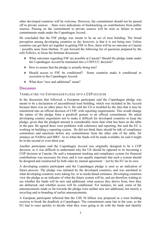other developed countries will be welcome. However, the commitment should not be passed off to private sources  $-$  there were indications of backtracking on contributions from public sources. Passing on the commitment to private sources will be seen as failure to meet commitments made under the Copenhagen Accord.

He concluded that the FSF pledge was meant to be an act of trust building. The broad perception among developing countries so far, however, is that it is not being met. Unless countries can get their act together in getting FSF to flow, there will be no outcome at Cancún  $\overline{a}$  possibly none from Durban. Yi put forward the following list of questions prepared by the ecbi Fellows, to focus the Seminar discussion:

- ` What outcomes regarding FSF are possible at Cancún? Should the pledge made under the Copenhagen Accord be translated into a UNFCCC decision?
- $\blacktriangleright$  How to ensure that the pledge is actually being met?
- ` Should access to FSF be conditional? Some countries make it conditional to accession to the Copenhagen Accord.
- $\blacktriangleright$  What does "new and additional" mean?

#### **Discussion**

#### TRANSLATING THE COPENHAGEN PLEDGE INTO A COP DECISION

In the discussion that followed, a European participant said the Copenhagen pledge was meant to be a declaration of unconditional trust building, which was included in the Accord because there was no other place for it. He said the US is troubled by the idea that it may be transferred into an official decision of COP, with reporting requirements. This would change the nature of the pledge from a goodwill gesture to an official commitment. He asked developing country negotiators not to make it difficult for developed countries to keep the pledge, given that the pledged amount is considerably more than what has been on the table in the past. He agreed there were problems with coherence and reporting, but said the EU is working on building a reporting system. He did not think there should be talk of compliance committees and sanctions before any commitments from the other side of the table, for instance on NAMAs and MRV. As to when the funds will be made available, he said it might be in the second or even third year.

Another participant said the Copenhagen Accord was originally designed to be a COP decision, so it was difficult to understand why the US should be opposed to its becoming a COP decision at Cancún. He said a transparent tracking and compliance system for financial contributions was necessary for trust, and it was equally important that such a system should be designed and constructed by both sides by mutual agreement  $-$  not by the EU on its own.

A developing country participant said the Copenhagen pledge is seen as an indication of future process. The pledge was initiated by the developed countries, and was unrelated to what developing countries were asking for, or to needs-based estimates. Developing countries view the pledge as an indicator of what the future system will be, and are therefore waiting to see whether the funds will be new and additional, what sources they derive from, how they are disbursed, and whether access will be conditional. For instance, he said, some of the announcements made so far towards the pledge were neither new nor additional, but merely a recycling and re-branding of earlier announcements.

A European participant reflected that the US\$ 30 billion was proposed as a trust building exercise to break the deadlock at Copenhagen. The commitment came late in the year, so the EU had to react quickly to decide what they were going to do with the funds and identify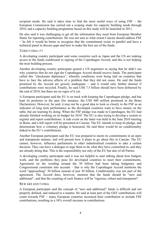recipient needs. He said it takes time to find the most useful ways of using  $FSF -$  the European Commission has carried out a scoping study for capacity building needs through 2010, and a capacity building programme based on this study will be launched in 2011.

He also said it was challenging to get all the information they need from European Member States for reporting contributions. He was not sure to what extent Cancún should address FSF  $h$  he felt it would be better to recognise that the commitment exists in parallel and have a technical panel to discuss gaps and how to make the best use of the funds.

#### CONDITIONALITY

A developing country participant said some countries such as Japan and the US are making access to the funds conditional to signing of the Copenhagen Accord, and this is not helping the trust building process.

Another developing country participant quoted a US negotiator as saying that he didn't see why countries that do not sign the Copenhagen Accord should receive funds. The participant called this "checkmate diplomacy", whereby conditions were being laid on countries that have to face the adverse affects of a problem that they did not cause. He said the funds promised by the Accord are grossly inadequate  $-$  and it would only further distrust if contributions were recycled. Finally, he said US\$ 7.5 billion should have been disbursed by the end of 2010, but there are no signs of it yet.

A European participant said the EU is on track with keeping the Copenhagen pledge, and has kept its promises in the past (for instance, the US\$ 400 million promised in the Bonn Declaration). However, he said, it may not be a good idea to look so closely to the FSF as an indicator of long term performance as the developed countries want to have money on the table, but are learning by doing. When the FSF pledge was made in Copenhagen, the EU had already finished working on its budget for 2010. The EU is also trying to develop a system to register and report contributions. A side event on the latter was held in the June 2010 meeting in Bonn, and a full report will be presented at Cancún. The EU intends to keep its pledge, and demonstrate how a voluntary pledge is honoured. He said there would be no conditionality linked to the EU's contributions.

Another European participant said the EU was prepared to meets its commitments in an open and transparent manner, and will present how it plans to go about this in Cancún. The EU cannot, however, influence parliaments in other industrialised countries to take a certain decision. They can have a dialogue to urge them to do what they have committed to, and they are already doing that. This is the responsibility not only of the EU but also of all Parties.

A developing country participant said it was not helpful to start talking about how budgets work, and the problems they pose for developed countries to meet their commitments. Agreement on the wording around the 30 billion had been taking budgetary and Congressional constrains into account  $-$  that is why the Copenhagen Accord mentions the word "approaching" 30 billion instead of just 30 billion. Conditionality was not part of the agreement. The Accord does, however, mention that the funds should be "new and additional", and that the counting of such finance will be "rigorous, robust and transparent".

#### NEW AND ADDITIONAL

A European participant said the concept of "new and additional" funds is difficult and not properly defined, and reduced to a mantra. He said at least part of the GEF contributions will count towards  $FSF$  – many European countries increased their contribution to include  $FSF$ contributions, resulting in a 34% overall increase in contributions.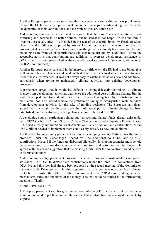Another European participant agreed that the concept of new and additional was problematic. He said the EU has already reported in Bonn on the first steps towards making FSF available, the dynamics of their contributions, and the projects they are aiming for.

A developing country participant said he agreed that the term "new and additional" was confusing and needed to be better defined, but he said it is not helpful to call the term a "mantra", especially after it is included in the text of an Accord signed by Heads of State. Given that the FSF was proposed by Annex I countries, he said the onus is on them to propose what is meant by "new" (as in not something that has already been promised before, including a date from which contributions will start to count) and by "additional" (where the acceptable norm is that contributions are additional to overseas development assistance, or  $ODA - but it is not agreed whether they are additional to present ODA contributions, or to$ the 0.7% commitment).

Another European participant said in the interests of efficiency, the EU had to use bilateral as well as multilateral channels and work with different partners to disburse climate finance. Under these circumstances, it was not always easy to establish what was new and additional, particularly when trying to mainstream climate activities into existing development processes.

A participant agreed that it would be difficult to distinguish activities related to climate change from development activities, and hence the additional cost of climate change. But, he said, developed countries should meet their financial obligation by contributing to a multilateral pot. This would remove the problem of having to distinguish climate activities from development activities for the sake of funding decisions. The European participant agreed that this might be the case once the multilateral pot for climate change has been established, but in its absence, existing channels have to be used for FSF.

A developing country participant pointed out that such multilateral funds already exist under the UNFCCC (the LDC Fund, Special Climate Change Fund, and Adaptation Fund). He said LDCs had already submitted National Adaptation Plans of Action, and contributions of the US\$ 2 billion needed to implement them could easily classify as new and additional.

Another developing country participant said most developing country Parties think the funds promised under the Copenhagen Accord will be additional to ODA, and to GEF contributions. He said if the funds are disbursed bilaterally, developing countries must be told the criteria used to make decisions on which countries and activities will be funded. He agreed with the earlier suggestion that the existing funds under the convention should be used to disburse the funds.

A developing country participant proposed the idea of "overseas sustainable development assistance  $\sim$  OSDA" to differentiate contributions under the three Rio conventions from ODA. He said this idea had already been proposed at the second meeting of the Commission for Sustainable Development. He also suggested that one concrete outcome from Cancún could be to transfer the US\$ 30 billion commitment to a COP decision, along with the mechanisms, rules and functions of the money. The text could be drafted in the forthcoming meeting in Tianjin.

#### ABSORPTIVE CAPACITY

A European participant said his government was disbursing FSF already  $-$  but the recipients were not prepared to put them to use. He said the FSF contributions have caught recipients by surprise.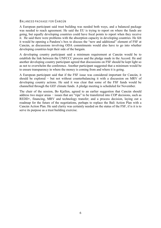#### BALANCED PACKAGE FOR CANCÚN

A European participant said trust building was needed both ways, and a balanced package was needed to reach agreement. He said the EU is trying to report on where the funds are going, but equally developing countries could have focal points to report when they receive it. He said there were problems with the absorption capacity in developing countries. He felt it would be opening a Pandora's box to discuss the "new and additional" element of FSF at Cancún, as discussions involving ODA commitments would also have to go into whether developing countries kept their side of the bargain.

A developing country participant said a minimum requirement at Cancún would be to establish the link between the UNFCCC process and the pledge made in the Accord. He and another developing country participant agreed that discussions on FSF should be kept light so as not to overwhelm the conference. Another participant suggested that a minimum would be to ensure transparency in where the money is coming from and where it is going.

A European participant said that if the FSF issue was considered important for Cancún, it should be explored  $-$  but not without counterbalancing it with a discussion on MRV of developing country actions. He said it was clear that some of the FSF funds would be channelled through the GEF climate funds. A pledge meeting is scheduled for November.

The chair of the session, Bo Kjellen, agreed to an earlier suggestion that Cancún should address two major areas  $-$  issues that are "ripe" to be transferred into COP decisions, such as REDD+, financing, MRV and technology transfer; and a process decision, laying out a roadmap for the future of the negotiations, perhaps to replace the Bali Action Plan with a Cancún Action Plan. He said clarity was certainly needed on the status of the FSF, if is it is to serve its purpose as a trust building exercise.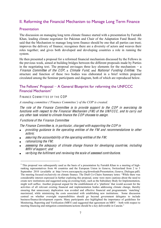# II. Reforming the Financial Mechanism to Manage Long Term Finance

#### **Presentation**

The discussion on managing long term climate finance started with a presentation by Farrukh Khan, leading climate negotiator for Pakistan and Chair of the Adaptation Fund Board. He said that the Mechanism to manage long term finance should be one that all parties can trust; improves the delivery of finance; recognises there are a diversity of actors and weaves their roles together; and gives both developed and developing countries a role in running the system.

He then presented a proposal for a reformed financial mechanism discussed by the Fellows in the previous week, aimed at building bridges between the different proposals made by Parties in the negotiating text. The proposal envisages three key elements for the mechanism  $-$  a Finance Committee of the COP, a Climate Fund, and National Funding Entities. The structure and function of these two bodies was elaborated in a brief written proposal circulated among the Seminar participants and diagram, both of which are reproduced below.

#### The Fellows' Proposal  $-A$  General Blueprint for reforming the UNFCCC Financial Mechanism<sup>3</sup>

#### FINANCE COMMITTEE OF THE COP

*A* standing committee ('Finance Committee') of the COP is created.

The role of the Finance Committee is to provide support to the COP in exercising its functions with respect to the Financial Mechanism (FM) of the UNFCCC, and to carry out any <sup>o</sup>the<sup>r</sup> task <sup>r</sup>elated t<sup>o</sup> <sup>c</sup>limat<sup>e</sup> finance th<sup>e</sup> COP <sup>c</sup>hoose<sup>s</sup> t<sup>o</sup> <sup>a</sup>ssign.

#### F unctions of the F inance Committee

The Finance Committee is, in particular, charged with supporting the COP in

- providing guidance t<sup>o</sup> th<sup>e</sup> operating <sup>e</sup>ntitie<sup>s</sup> <sup>o</sup>f th<sup>e</sup> FM and <sup>r</sup>ecommendation<sup>s</sup> t<sup>o</sup> <sup>o</sup>the<sup>r</sup> <sup>a</sup>ctors;
- <sup>a</sup>ssuring th<sup>e</sup> <sup>a</sup>ccountability <sup>o</sup>f th<sup>e</sup> operating <sup>e</sup>ntitie<sup>s</sup> <sup>o</sup>f th<sup>e</sup> FM;
- rationalizing th<sup>e</sup> FM;  $\bullet$
- <sup>a</sup>ssessing th<sup>e</sup> adequacy <sup>o</sup>f <sup>c</sup>limat<sup>e</sup> <sup>c</sup>hang<sup>e</sup> finance for dev<sup>e</sup>loping <sup>c</sup>ountries, including MRV <sup>o</sup>f <sup>s</sup>upport; and
- <sup>v</sup>erifying th<sup>e</sup> fulfilment and <sup>r</sup>eviewing th<sup>e</sup> <sup>s</sup>cal<sup>e</sup> <sup>o</sup>f <sup>a</sup>ssessed <sup>c</sup>ontributions.

<sup>&</sup>lt;sup>3</sup> This proposal was subsequently used as the basis of a presentation by Farrukh Khan to a meeting of highranking representatives from 46 countries and the European Union in Geneva, Switzerland from 2 to 3 September 2010 (available at http://www.eurocapacity.org/downloads/Presentation Geneva Dialogue.pdf). The meeting focused exclusively on climate finance. The Draft Co-Chairs Summary notes: "While there was considerable interest expressed in further exploring this proposal, some were more cautious about the need to create new institutions and suggested using an existing body, such as the Subsidiary Body for Implementation, might well suffice. Another proposal argued for the establishment of a 'platform' that would account for the activities of all relevant existing financial and implementation bodies addressing climate change, thereby ensuring that unnecessary duplication was avoided and effective financial and programmatic 'matching' maximized, while minimizing the costs associated with establishing new institutions. Some discussion centred on whether oversight responsibilities should go beyond government delegates to include business/finance/development experts. Many participants also highlighted the importance of guidelines for Monitoring, Reporting and Verification (MRV) and suggested that agreement on  $\overline{MRV}$   $-$  both with respect to meeting financing and mitigation commitments/actions should be a key deliverable in Cancún."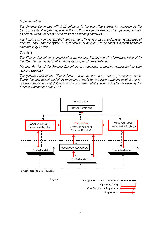#### Impl<sup>e</sup>mentation

The Finance Committee will draft guidance to the operating entities for approval by the COP, and <sup>s</sup>ubmit <sup>r</sup><sup>e</sup>gular <sup>r</sup>eports t<sup>o</sup> th<sup>e</sup> COP on th<sup>e</sup> performance <sup>o</sup>f th<sup>e</sup> operating <sup>e</sup>ntities, and on th<sup>e</sup> financial <sup>n</sup>eed<sup>s</sup> <sup>o</sup>f and flow<sup>s</sup> t<sup>o</sup> dev<sup>e</sup>loping <sup>c</sup>ountries.

The Finance Committee will draft and periodically review the procedures for registration of financial flow<sup>s</sup> and th<sup>e</sup> <sup>s</sup>yste<sup>m</sup> <sup>o</sup>f certification <sup>o</sup>f payments t<sup>o</sup> b<sup>e</sup> <sup>c</sup>ounted against financial obligation<sup>s</sup> by Parties.

#### **Structure**

The Finance Committee is composed of XX member Parties and XX alternatives selected by th<sup>e</sup> COP, taking int<sup>o</sup> <sup>a</sup>ccount <sup>e</sup>quitabl<sup>e</sup> g<sup>e</sup>ographical <sup>r</sup>epresentation.

Member Parties of the Finance Committee are requested to appoint representatives with <sup>r</sup>elevant <sup>e</sup>xpertise.

The general rules of the Climate Fund – *including the Board'* rules of procedure of the Board, th<sup>e</sup> operational guideline<sup>s</sup> (including <sup>c</sup>riteria for project/programm<sup>e</sup> funding and for resource allocation and disbursement) – are formulated and periodically reviewed by the Finance Committee of the COP.



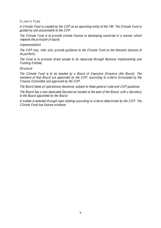#### CLIMATE FUND

A Climat<sup>e</sup> Fund i<sup>s</sup> <sup>c</sup>reated by th<sup>e</sup> COP <sup>a</sup><sup>s</sup> an operating <sup>e</sup>ntity <sup>o</sup>f th<sup>e</sup> FM. Th<sup>e</sup> Climat<sup>e</sup> Fund i<sup>s</sup> guided by and <sup>a</sup>ccountabl<sup>e</sup> t<sup>o</sup> th<sup>e</sup> COP.

Th<sup>e</sup> Climat<sup>e</sup> Fund i<sup>s</sup> t<sup>o</sup> provid<sup>e</sup> <sup>c</sup>limat<sup>e</sup> finance t<sup>o</sup> dev<sup>e</sup>loping <sup>c</sup>ountrie<sup>s</sup> in <sup>a</sup> manne<sup>r</sup> which <sup>r</sup>espects th<sup>e</sup> principl<sup>e</sup> <sup>o</sup>f <sup>e</sup>quity.

#### Impl<sup>e</sup>mentation

Th<sup>e</sup> COP may, inte<sup>r</sup> alia, provid<sup>e</sup> guidance t<sup>o</sup> th<sup>e</sup> Climat<sup>e</sup> Fund on th<sup>e</sup> themati<sup>c</sup> balance <sup>o</sup>f its portfolio.

Th<sup>e</sup> Fund i<sup>s</sup> t<sup>o</sup> promot<sup>e</sup> direct <sup>a</sup>ccess t<sup>o</sup> its <sup>r</sup>esource<sup>s</sup> through National Impl<sup>e</sup>menting and Funding Entities.

#### **Structure**

Th<sup>e</sup> Climat<sup>e</sup> Fund i<sup>s</sup> t<sup>o</sup> b<sup>e</sup> headed by <sup>a</sup> Board <sup>o</sup>f Executiv<sup>e</sup> Director<sup>s</sup> (th<sup>e</sup> Board). Th<sup>e</sup> <sup>m</sup>ember<sup>s</sup> <sup>o</sup>f that Board ar<sup>e</sup> appointed by th<sup>e</sup> COP, <sup>a</sup>ccording t<sup>o</sup> <sup>c</sup>riteria formulated by th<sup>e</sup> Finance Committee and approved by the COP.

Th<sup>e</sup> Board take<sup>s</sup> all operational decisions, <sup>s</sup>ubject t<sup>o</sup> thes<sup>e</sup> general rule<sup>s</sup> and COP guidance.

Th<sup>e</sup> Board ha<sup>s</sup> <sup>a</sup> <sup>n</sup>e<sup>w</sup> dedicated Secretariat located <sup>a</sup>t th<sup>e</sup> <sup>s</sup>eat <sup>o</sup>f th<sup>e</sup> Board, with <sup>a</sup> Secretary t<sup>o</sup> th<sup>e</sup> Board appointed by th<sup>e</sup> Board.

A trustee i<sup>s</sup> <sup>s</sup>elected through ope<sup>n</sup> bidding <sup>a</sup>ccording t<sup>o</sup> <sup>c</sup>riteria determined by th<sup>e</sup> COP. Th<sup>e</sup> Climate Fund has finance windows.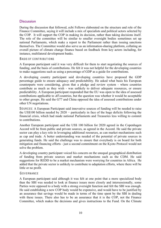#### **Discussion**

During the discussion that followed, ecbi Fellows elaborated on the structure and role of the Finance Committee, saying it will include a mix of specialists and political actors selected by the COP. It will support the COP in making its decision, rather than taking decisions itself. The role of the committee will be similar to smaller oversight bodies sometimes set up national Parliaments, which make a report to the Parliament rather than issuing sanctions themselves. The Committee would also serve as an information-sharing platform, collating an overall picture of climate change finance based on feedback from key actors including, for instance, multilateral development banks.

#### BASIS OF CONTRIBUTIONS

A European participant said it was very difficult for them to start negotiating the sources of funding, and the basis of contributions. He felt it was not helpful for the developing countries to make suggestions such as using a percentage of GDP as a guide for contributions.

A developing country participant said developing countries have proposed the GDP percentage guide to ensure adequacy and predictability. He asked what basis his European counterparts were considering, given that a pledge and review system - where countries contribute as much as they wish - was unlikely to deliver adequate resources, or ensure predictability. A European participant responded that the EU was open to the idea of assessed contributions applicable to all countries, but the question was whether it would be acceptable to other groups. He said the G77 and China opposed the idea of assessed contributions under other UN negotiations.

SOURC ES: A European Participant said innovative sources of funding will be needed to raise the US\$100 billion needed by  $2020$  – particularly in face of the huge deficits following the financial crisis, which had made national Parliaments and Treasuries less willing to commit to contributions.

Another European participant said the US\$ 100 billion for 2020 agreed in the Copenhagen Accord will be from public and private sources, as agreed in the Accord. He said the private sector can play a key role in leveraging additional resources, as can market mechanisms such as cap and trade. A better understanding was needed of the potential of private sources in generating funds. He said the challenge was to ensure that everybody is on board for both mitigation and financing efforts - just a second commitment on the Kyoto Protocol would not solve the problem.

A developing country participant voiced his concern on the unequal geographical distribution of funding from private sources and market mechanisms such as the CDM. He said suggestions for REDD to be a market mechanism were worrying for countries in Africa. He added that the private sector is unlikely to contribute to adaptation efforts, where there will be little or no profit.

#### **GOVERNANCE**

A European participant said although it was felt at one point that a more specialized body than the SBI was needed to look at finance issues more closely and intersessionally, some Parties were opposed to a body with a strong oversight function and felt the SBI was enough. He said establishing a new COP body would be expensive, and would have to be justified by an assurance that savings would be made in terms of the time spent by the SBI in dealing with these issues. There also has to be an assurance that it is the COP, not the Finance Committee, which makes the decisions and gives instructions to the Fund. On the Climate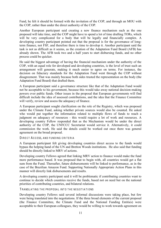Fund, he felt it should be formed with the invitation of the COP, and through an MOU with the COP, rather than under the direct authority of the COP.

Another European participant said creating a new finance mechanism such as the one proposed will take time, and the COP might have to spend a lot of time drafting TORs, which will be very complicated for a body that will be legally and financially complex. A developing country participant pointed out that the proposal is for the governance of longterm finance, not FSF, and therefore there is time to develop it. Another participant said the task is not as difficult as it seems, as the creation of the Adaptation Fund Board (AFB) has already shown. The AFB took two and a half years to start disbursing funds, and no other process could be quicker.

He said the biggest advantage of having the financial mechanism under the authority of the COP, with an equal role for developed and developing countries, is the level of trust such an arrangement will generate, making it much easier to agree on terms. For instance, the decision on fiduciary standards for the Adaptation Fund went through the COP without disagreement. That was mainly because both sides trusted the representation on the body (the Adaptation Fund Board) that drafted them.

A European participant said a governance structure like that of the Adaptation Fund would not be acceptable to his government, because this would take away national decision-making powers over public funds. Other issues in the proposal that European governments will find difficult include the idea of assessed contributions, and the idea that the Finance Committee will verify, review and assess the adequacy of finance.

A European participant sought clarification on the role of the Registry, which was proposed under the Climate Fund, asking whether private sources would also be counted. He asked who would put together the information related to multiple flows of funds to reach a judgment on adequacy of resources - this would require a lot of work and resources. A developing country Fellow responded that as the Mechanism would be under the direct authority of the COP, the UNFCCC Secretariat would service it. Alternatively, it could commission the work. He said the details could be worked out once there was general agreement on the broad proposal.

#### DIRECT ACCESS, AND FUNDING CRITERIA

A European participant felt giving developing countries direct access to the funds would bypass the helping hand of the UN and Bretton Woods institutions. He also said that funding should be directly linked to MRV of actions.

Developing country Fellows agreed that linking MRV action to finance would make the fund more performance based. It was proposed that to begin with, all countries would get a flat sum from the Fund. Thereafter, future disbursements will be linked to performance, as in the case of the Brazilian Amazon Fund. Supporting Nationally Appropriate Action Plans in this manner will directly link disbursements and results.

A developing country participant said it will be problematic if contributing countries want to continue to decide which countries receive the funds, based not on need but on the national priorities of contributing countries, and bilateral relations.

#### TRANSLATING THE PROPOSAL INTO THE NEGOTIATIONS

Developing country Fellows said several informal discussions were taking place, but few were being translated into the negotiations. If the three broad elements of the current proposal (the Finance Committee, the Climate Fund and the National Funding Entities) were acceptable to their European colleagues, they would be willing to work towards agreement on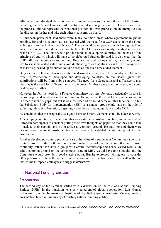differences on individual elements, and to promote the proposal among the rest of the Parties, including the G77 and China in order to translate it into negotiation text. They stressed that the proposal did not represent their national position, but was proposed in an attempt to take the discussion further and take each other's concerns on board.

A European participant said there were many common areas where agreement might be possible. He said his country, at least, agreed with the need for a COP decision on the Fund, to bring it into the fold of the UNFCCC. There should be no problem with having the Fund under the guidance and directly accountable to the COP, as was already specified in the text of the UNFCCC. The Fund would provide funds to developing countries, on the basis of the principle of equity, which will have to be elaborated further. He said it is also clear that the COP will provide guidance to the Fund. Because the fund is a new entity, his country would like to see some added value, and avoid duplicating roles that already exist. The management of massively scaled up resources could be seen as one such new added element.

On governance, he said it was clear the Fund would need a Board. His country would prefer equal representation of developed and developing countries on the Board, given that contributions will be from public sources. The need for a Secretariat and a Trustee is also clear, as is the need for different thematic windows. All these were common areas, and could be developed further.

However, he felt the need for a Finance Committee was less obvious, particularly its role in the oversight and verification of contributions. He agreed on the need for a periodic overview in order to identify gaps, but felt it was less clear who should carry out this function. He felt the Subsidiary Body for Implementation (SBI) or a contact group could take on the role of gathering relevant information, digesting it and then providing guidance to the COP.

He concluded that the proposal was a good basis and many elements could be taken forward.

A developing country participant said this was a step in a positive direction, and requested the European participants to consider putting their own thoughts on paper, so that they could take it back to their capitals and try to arrive at common ground. He said none of them were talking about national positions, but rather trying to establish a starting point for the discussions.

Another developing country participant said the value of a permanent Committee rather than contact group or the SBI was to institutionalize the role of the committee and ensure continuity, rather than have a group with erratic membership and hence varied results. He said a common ground on the contentious issue of MRV would have to be sought, and the Committee would provide a good starting point. But he expressed willingness to consider other proposals on how the issue of verification and certification should be dealt with, and invited his European colleagues to suggest alternatives.

# III. National Funding Entities

#### **Presentation**

The second day of the Seminar started with a discussion on the role of National Funding Entities (NFEs) in the transition to a new paradigm of global cooperation. Luis Gomez Echeverri from the International Institute of Applied Systems Analysis, Vienna, made a presentation based on his survey of existing national funding entities.<sup>4</sup>

<sup>&</sup>lt;sup>4</sup> For more information, see Luis Gomez-Echeverri, National Funding Entities: Their Role in the transition to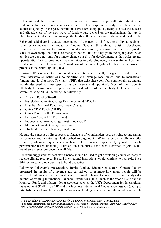Echeverri said the quantum leap in resources for climate change will bring about some challenges for developing countries in terms of absorption capacity, but they can be addressed quickly. In the past, institutions have been set up quite quickly. He said the success and effectiveness of the new wave of funds would depend on the mechanisms that are in place to allocate, disburse and manage the funds at the international, national and local levels.

Echeverri said there is gradual acceptance of the need to shift responsibility to recipient countries to increase the impact of funding. Several NFEs already exist in developing countries, with promise to transform global cooperation by ensuring that there is a greater sense of ownership, the funds are managed better, and that they go to the right places. Such entities are good not only for climate change but also for development, as they offer greater opportunities for incorporating climate activities into development, in a way that will be more conducive for multiple benefits. A weakness of the current system has been the approval of projects at the central (global) level.

Existing NFEs represent a new breed of institutions specifically designed to capture funds from international institutions, to mobilize and leverage local funds, and to mainstream funding into development. The many NFE's that exist share very few commonalities, and are mainly designed to meet specific national needs and "politics". Most of them operate off-budget to avoid local complexities and local politics of national budgets. Echeverri listed several existing NFEs, including the following:

- Amazon Fund of Brazil  $\blacksquare$
- Bangladesh Climate Change Resilience Fund (BCCRF)  $\bullet$
- Brazilian National Fund on Climate Change  $\bullet$
- China CDM Fund (CDMF)
- China Funds for the Environment  $\bullet$
- Ecuador Yasuni ITT Trust Fund  $\bullet$
- Indonesian Climate Change Trust Fund (ICCTF)
- Maldives Climate Change Trust Fund
- Thailand Energy Efficiency Trust Fund

He said the concept of direct access to finance is often misunderstood, as trying to undermine performance and monitoring. He described an ongoing REDD initiative by the UN in 9 pilot countries, where arrangements have been put in place are specifically geared to handle performance based financing. Thirteen other countries have been identified to join as full members as resources become available.

Echeverri suggested that fast start finance should be used to get developing countries ready to receive climate resources. He said international institutions would continue to play role, but a different one, helping countries to build capacities.

Following Echeverri's presentation. Benito Müller, Director of Oxford Climate Policy, presented the results of a recent study carried out to estimate how many people will be needed to administer the increased level of climate change finance.<sup>5</sup> The study analysed a number of existing International Financial Institutions (IFIs), such as the World Bank and the Montreal Fund, and bilateral donor agencies such as the UK's Department for International Development (DFID), USAID and the Japanese International Cooperation Agency (JICA) to establish a co-relation between the amounts of funding processed, and the number of people

 $\overline{a}$ 

a new paradigm of global cooperation on climate change, ecbi Policy Report, forthcoming<br><sup>5</sup> For more information, see David Ciplet, Benito Müller and J. Timmons Roberts, *How many people does it* <sup>t</sup>ake ... <sup>t</sup><sup>o</sup> administe<sup>r</sup> long-ter<sup>m</sup> <sup>c</sup>limat<sup>e</sup> finance?, ecbi Policy Report, forthcoming.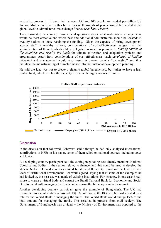needed to process it. It found that between 250 and 400 people are needed per billion US dollars. Müller said that on this basis, tens of thousands of people would be needed at the global level to administer climate change finance (see Figure below).

These estimates, he claimed, raise crucial questions about what institutional arrangements would be most effective and where new and additional administrators should be located: in wealthy nations or those receiving the funding. Given the expense of hiring development agency staff in wealthy nations, considerations of cost-effectiveness suggest that the administration of these funds should be delegated as much as possible to *funding entities in* the countries that receive the funds for climate mitigation and adaptation projects and programmes. Apart from considerations of cost-effectiveness, such devolution <sup>o</sup>f funding decisions and management would also result in greater country "ownership" and thus facilitate the mainstreaming of climate finance into their national development planning.

He said the idea was not to create a gigantic global bureaucracy, but rather to have a lean central fund, which still has the capacity to deal with large amounts of funds.



**Realistic Staff Requirement Estimates** 

#### **Discussion**

In the discussion that followed, Echeverri said although he had only analysed international contributions to NFEs in his paper, some of them relied on national sources, including taxes and levies.

A developing country participant said the exiting negotiating text already mentions National Coordinating Bodies in the section related to finance, and this could be used to develop the idea of NFEs. He said countries should be allowed flexibility, based on the level of their level of institutional development. Echeverri agreed, saying that in some of the examples he had looked at, the best use was made of existing institutions. For instance, in one case Brazil chose to create a virtual body and entrust the Brazil National Bank for Economic and Social Development with managing the funds and ensuring the fiduciary standards are met.

Another developing country participant gave the example of Bangladesh. The UK had committed to a contribution of around US\$ 100 million to the BCCRF, but had insisted on a role for the World Bank in managing the funds. The World Bank would charge 15% of the total amount for managing the funds. This resulted in protests from civil society. The Government of Bangladesh was divided  $-$  the Ministry of Environment was opposed to the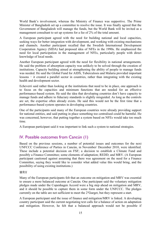World Bank's involvement, whereas the Ministry of Finance was supportive. The Prime Minister of Bangladesh set up a committee to resolve the issue. It was finally agreed that the Government of Bangladesh will manage the funds, but the World Bank will be invited as a management consultant to set up systems for a fee of 2% of the total amount.

A European participant agreed with the need for building national and local capacities, seeking ways for better integration with development, and working with existing mechanisms and channels. Another participant recalled that the Swedish International Development Cooperation Agency (SIDA) had proposed idea of NFEs in the 1990s. He emphasized the need for local participation in the management of NFEs, particularly people with direct knowledge of local needs.

Another European participant agreed with the need for flexibility in national arrangements. He said the problem of absorption capacity was unlikely to be solved through the creation of institutions. Capacity building aimed at strengthening the ability of people to manage funds was needed. He said the Global Fund for AIDS, Tuberculosis and Malaria provided important lessons  $-$  it created a parallel sector in countries, rather than integrating with the existing health and development sector.

Echeverri said rather than looking at the institutions that need to be in place, one approach is to focus on the capacities and minimum functions that are needed for an effective performance-based system. He said the idea that developing countries don't have capacity to manage funds and adhere to fiduciary standards is slightly misguided. As long as the controls are set, the expertise often already exists. He said this would not be the first time that a performance-based system operates in developing countries.

One of the participants said many of the European countries were already providing support for national entities, and said putting in place something too centralised could be harmful. He was concerned, however, that putting together a system based on NFEs would take too much time.

A European participant said it was important to link such a system to national strategies.

## IV. Possible outcomes from Cancún (1)

Based on the previous sessions, a number of potential issues and outcomes for the next UNFCCC Conference of Parties in Cancún, in November/ December 2010, were identified. These include a potential decision on FSF; a decision to establish a Climate Fund and possibly a Finance Committee; some elements of adaptation; REDD; and MRV. (A European participant cautioned against assuming that there was agreement on the need for a Finance Committee, saying they would like to consider what added value this would bring, and the possibility of using existing institutions.)

#### MRV

Many of the European participants felt that an outcome on mitigation and MRV was essential to ensure a more balanced outcome at Cancún. One participant said the voluntary mitigation pledges made under the Copenhagen Accord were a big step ahead on mitigation and MRV, and it should be possible to capture them in some form under the UNFCCC. The pledges currently on the table are not sufficient to meet the 2<sup>o</sup>Ctarget, but they represent a start.

A European participant said the issue of finance and mitigation/MRV is linked. A developing country participant said the current negotiating text calls for a balance of action on adaptation and mitigation. However, he felt that a balanced approach would not be possible if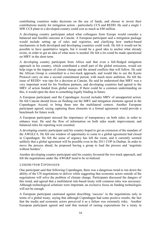contributing countries make decisions on the use of funds, and choose to invest their contributions mainly for mitigation action - particularly CCS and REDD. He said a single 1 MW CCS plant in a developed country could cost as much as  $\epsilon$ 40 million.

A developing country participant asked what colleagues from Europe would consider a balanced and feasible outcome at Cancún. A European participant said a mitigation package would include setting up of rules and registries, and clarifying how market-based mechanisms in both developed and developing countries could work. He felt it would not be possible to have quantitative targets, but it would be a good idea to anchor what already exists, in order to get an idea of what more is needed. He felt a lot could be made operational on MRV in the short term.

A developing country participant from Africa said that even a full-fledged mitigation approach in his country, which contributed a small part of the global emissions, would not help reign in the impacts of climate change and the armed conflicts that will follow. He said the African Group is committed to a two-track approach, and would like to see the Kyoto Protocol carry on into a second commitment period, with much more ambition. He felt the issue of REDD+ was ripe for a decision at Cancún. He said he understood that MRV was a very important word for his Northern partners, and developing countries had agreed to the MRV of action funded from global sources. If there could be a common understanding on this, it would open the door to something legally binding in future.

A European participant said the Copenhagen Accord includes MRV of unsupported action. He felt Cancún should focus on fleshing out the MRV and mitigation elements agreed in the Copenhagen Accord, to bring them into the multilateral context. Another European participant agreed, saying capturing these elements in a formal agreement would provide a benchmark for future work.

A European participant stressed the importance of transparency on both sides, in order to enhance trust. He said the flow of information on both sides needs improvement, and balanced rules for reporting were essential.

A developing country participant said his country hoped to get an extension of the mandate of the AWGLCA. He felt one window of opportunity to come to a global agreement had closed in Copenhagen. He felt the sense of urgency has left the room, and it currently seemed unlikely that a global agreement will be possible even in the 2011 COP in Durban. In order to move the process ahead, he proposed having a group to lead the process and 'negotiate without borders'.

Another developing country participant said his country favoured the two-track approach, and felt the negotiations under the AWGKP need to be revitalized.

#### LESSONS FROM COPENHAGEN

One participant said that following Copenhagen, there was a dangerous trend to run down the ability of the UN negotiations to deliver while suggesting that economic actors outside of the negotiations will solve the problem of climate change. Participants discussed the dangers of this trend, and agreed that a multilateral rule-based treaty with common rules was necessary. Although technological solutions were important, an exclusive focus on funding technologies will not be enough.

A European participant cautioned against describing 'success' in the negotiations only in terms of a global treaty, saying that although Copenhagen had some positive results, the fact that the media and economic actors perceived it as a failure was extremely risky. Another European participant agreed and said that instead of raising expectations for a treaty in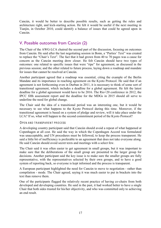Cancún, it would be better to describe possible results, such as getting the rules and architecture right, and kick-starting action. He felt it would be useful if the next meeting in Tianjin, in October 2010, could identify a balance of issues that could be agreed upon in Cancún.

# V. Possible outcomes from Cancún (2)

The Chair of the AWG-LCA chaired the second part of the discussion, focusing on outcomes from Cancún. He said after the last negotiating session in Bonn, a "Parties" Text" was created to replace the "Chair's Text". The fact that it had grown from 40 to 70 pages was a cause for concern as the Cancún meeting drew closer. He felt Cancún should have two types of outcomes: one related to specific issues that were "ripe" for agreement, as discussed in the previous session; and the other related to future process, laying down a roadmap and mandate for issues that cannot be resolved at Cancún.

Another participant agreed that a roadmap was essential, citing the example of the Berlin Mandate and its importance in reaching agreement on the Kyoto Protocol. He said that if an agreement is not forthcoming even in Durban in 2011, it is necessary to think of some sort of transitional agreement, which includes a deadline for a global agreement. He felt the latest deadline for a global agreement would have to be 2016. The Rio+20 conference in 2012, the IPCC fifth assessment report and the deadline for the MDGs in 2015 should all serve to underline the need for global change.

The Chair said the idea of a transitional period was an interesting one, but it would be necessary to see what happens to the Kyoto Protocol during this time. Moreover, if the transitional agreement is based on a system of pledge and review, will it take place under the LCA? If so, what will happen to the second commitment period of the Kyoto Protocol?

#### OPEN AND TRANSPARENT PROCESS

A developing country participant said that Cancún should avoid a repeat of what happened at Copenhagen at all cost. He said the way in which the Copenhagen Accord was formulated was unacceptable, and UN procedures must be followed, to keep the process transparent. He said a little bit of inefficiency is preferable to an agreement that does not take everyone along. He said Cancún should avoid secret texts and meetings with a select few.

The Chair said it was often easier to get agreement in small groups, but it was important to make sure that the deliberations of the small group are presented to the larger group for decisions. Another participant said the key issue is to make sure the smaller groups are fully representative, with the representatives selected by their own groups, and to have a good system of reporting back, so everyone is kept informed and the process is transparent.

A European participant highlighted the need for Cancún to move to negotiation - rather than compilation - mode. The Chair agreed, saying it was much easier to put in brackets into the text than remove them.

One of the participants flagged the relatively recent practice of having co-chairs from both developed and developing countries. He said in the past, it had worked better to have a single Chair that both sides trusted for his/her objectivity, and who was committed only to achieving an end result.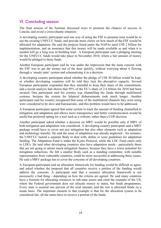# VI. Concluding session

The final session of the Seminar discussed ways to promote the chances of success in Cancún, and avoid a crisis/chaotic situation.

A developing country participant said one way of using the FSF to promote trust would be to use the existing UNFCCC funds, and provide more clarity on how much of the FSF would be allocated for adaptation. He said the projects listed under the NAPAs need US\$ 2 billion for implementation, and an assurance that this money will be made available as and when it is needed will go a long way in building trust. A European participant said a pledging meeting for the UNFCCC funds would take place in November 2010, where a fair amount of money would be pledged to these funds.

Another European participant said he was under the impression that the main concern with the FSF was to get the money out of the door quickly, without worrying about it flowing through a 'steady state' system and schematising it in a decision.

A developing country participant asked whether the pledge of US\$ 30 billion would be kept, or whether developing countries will be told they lack the absorptive capacity. Several European participants responded that they intended to keep their share of the commitment, and a recent analysis had shown that 95% of the EU's share of 2.4 billion for 2010 had been secured. One participant said his country was channelling the funds through multilateral systems, because the system for bilateral disbursements took much longer. Another participant said his country recognised that some of the multilateral channels they were using were considered to be slow and bureaucratic, and this problem would have to be addressed.

A European participant agreed that some system to track the amount of funding channelled to mitigation and adaptation and allows more transparency and better communication would be useful but preferred opting for a tool such as a website, rather than a COP decision.

Another participant asked whether a decision on MRV would be possible only if MRV of both mitigation and adaptation was considered. A developing country participant said a MRV package would have to cover not just mitigation but also other elements such as adaptation and technology transfer. He said the issue of adaptation was already neglected - for instance, the UNFCCC lacked a separate Body to deal with, define or issue guidelines for adaptation funding. The Adaptation Fund is under the Kyoto Protocol, while the LDC Fund caters only to LDCs. He said other developing countries also have adaptation needs - particularly those that are not going to attract much mitigation finance, because they have a lower potential for mitigation reductions. He felt a smaller Body such as a standing committee, with suitable representation from vulnerable countries, could be more successful at addressing these issues. He said a MRV package has to cover the concerns of all developing countries.

A European participant said an allocation framework for funding would be difficult to agree, and asked whether the proposal that all countries receive a portion of the funding would address the concerns. A participant said that a resource allocation framework is not necessarily a bad thing - depending on how the criteria are agreed. He said many countries have a formula for allocating resources to sub-state actors and cited the example of the US, where the Federal government does not allocate money to states, but funds programmes. Every state is assured one percent of the total amount, and the rest is allocated funds on a needs basis. The important element in that example is that for the allocation system to be considered fair, all the states have to receive a portion of the funds.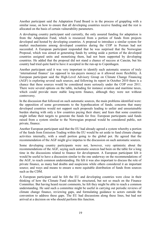Another participant said the Adaptation Fund Board is in the process of grappling with a similar issue, on how to ensure that all developing countries receive funding and the rest is allocated on the basis of certain vulnerability parameters.

A developing country participant said currently, the only assured funding for adaptation is from the Adaptation Fund, which is resourced from a portion of funds from projects developed and hosted by developing countries. A proposal to introduce a similar system for market mechanisms among developed countries during the COP in Poznan had not succeeded. A European participant responded that he was surprised that the Norwegian Proposal, which was aimed at generating funds by setting aside a portion of the developed countries assigned units and monetising them, had not been supported by developing countries. He added that the proposal did not stand a chance of success at Cancún, but his country had tried quite hard to have it accepted in the run-up to Copenhagen.

Another participant said it was very important to identify such automatic sources of truly 'international finance' (as opposed to tax-payers money) as it allowed more flexibility. A European participant said the High-Level Advisory Group on Climate Change Financing (AGF) is exploring several such sources, and following its report in October 2010 there is a chance that these sources would be considered more seriously under the COP over 2011. There were several options on the table, including for instance aviation and maritime taxes, which could provide more stable long-term finance, although they were not without controversy.

In the discussion that followed on such automatic sources, the main problems identified were: the opposition of some governments to the hypothecation of funds; concerns that many developed countries would not support such proposals leading to unfair and unsustainable burden sharing with only a few countries paying their share; and fears that some countries might inflate their targets to generate the funds for free. European participants said funds raised from a system similar to the Norwegian proposal would be considered public, not private, finance.

Another European participant said that the EU had already agreed a system whereby a portion of the funds from Emission Trading within the EU would be set aside to fund climate change activities internally, with a small portion going to the global pot. He agreed that the recommendation of the AGF might give impetus to the discussion on such automatic sources.

Some developing country participants were not, however, very optimistic about the recommendations of the AGF, saying such automatic sources had been on the table for a long time in the discussions related to finance for development. A European participant felt it would be useful to have a discussion similar to the one underway on the recommendations of the AGF, to reach common understanding. He felt it was also important to discuss the role of private finance, as many had doubts and suspicions while others considered it an important source; and ways and means to ensure a more equitable distribution of funds from sources such as the CDM.

A European participant said he felt the EU and developing countries were close in their thinking of how the Climate Fund should be structured, but not so much on the Finance Committee. But having heard recent comments, he felt they might be able to reach a common understanding. He said such a committee might be useful in carrying out periodic reviews of climate change finance, reviewing gaps, and formulating guidance to actors outside the convention to address these gaps. The EU had discussions along these lines, but had not arrived at a decision on who should perform this function.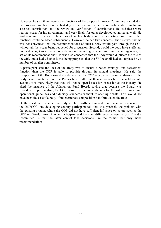However, he said there were some functions of the proposed Finance Committee, included in the proposal circulated on the first day of the Seminar, which were problematic  $-$  including assessed contribution, and the review and verification of contributions. He said these were redline issues for his government, and very likely for other developed countries as well. He said agreeing on a set of functions of such a body could be a starting point, and other functions could be added subsequently. However, he had two concerns. The first was that he was not convinced that the recommendations of such a body would pass through the COP without all the issues being reopened for discussion. Second, would the body have sufficient political weight to influence outside actors, including bilateral and multilateral agencies, to act on its recommendations? He was also concerned that the body would duplicate the role of the SBI, and asked whether it was being proposed that the SBI be abolished and replaced by a number of smaller committees.

A participant said the idea of the Body was to ensure a better oversight and assessment function than the COP is able to provide through its annual meetings. He said the composition of the Body would decide whether the COP accepts its recommendations. If the Body is representative and the Parties have faith that their concerns have been taken into account, it is more likely that they will not re-open issues for discussion at the Plenary. He cited the instance of the Adaptation Fund Board, saying that because the Board was considered representative, the COP passed its recommendations for the rules of procedure, operational guidelines and fiduciary standards without re-opening debate. This would not have been the case if a body of indeterminate composition had formulated the rules.

On the question of whether the Body will have sufficient weight to influence actors outside of the UNFCCC, one developing country participant said that was precisely the problem with the existing system, where the COP did not have sufficient influence on actors such as the GEF and World Bank. Another participant said the main difference between a 'board' and a 'committee' is that the latter cannot take decisions like the former, but only make recommendations.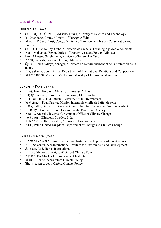# List of Participants

2010 ecbi FELLOWS

- Santhiago de Oliveira, Adriano, Brazil, Ministry of Science and Technology
- ` Yi, Xianliang, China, Ministry of Foreign Affairs
- ` Mpanu-Mpanu, Tosi, Congo, Ministry of Environment Nature Conservation and Tourism
- ` Santos, Orlando Rey, Cuba, Ministerio de Ciencia, Tecnologia y Medio Ambiente
- ` Nasr, Mohamed, Egypt, Office of Deputy Assistant Foreign Minister
- Puri, Manjeev Singh, India, Ministry of External Affairs
- ` Khan, Farrukh, Pakistan, Foreign Ministry
- ` Sylla, Cheikh Ndiaye, Senegal, Ministère de l'environnement et de la protection de la nature
- ` Zia, Suhayfa, South Africa, Department of International Relations and Cooperation
- ` Mukahanana, Margaret, Zimbabwe, Ministry of Environment and Tourism

#### EUROPEAN PARTICIPANTS

- ` Buys, Jozef, Belgium, Ministry of Foreign Affairs
- ` Legay, Baptiste, European Commission, DG Climate
- ` Uosukainen, Jukka, Finland, Ministry of the Environment
- ` Watkinson, Paul, France, Mission interministérielle de l'effet de serre
- ` Lacy, Sallie, Germany, Deutsche Gesellschaft für Technische Zusammenarbeit
- ` O'Reilly, Gemma, Ireland, Environmental Protection Agency
- K ranjc, Andrej, Slovenia, Government Office of Climate Change
- ` Folkunger, Elisabeth, Sweden, Sida
- ` Tillander, Steffan, Sweden, Ministry of Environment
- ` Betts, Peter, United Kingdom, Department of Energy and Climate Change

E XPERTS AND FCBI STAFF

- ` Gomez-Echeverri, Luis, International Institute for Applied Systems Analysis
- ` Huq, Saleemul, ecbi/International Institute for Environment and Development
- ` Janssen, Rod, Helios International
- ` King-Underwood, Ani, ecbi/ Oxford Climate Policy
- ` K jellen, Bo, Stockholm Environment Institute
- ` Müller, Benito, ecbi/Oxford Climate Policy
- ` Sharma, Anju, ecbi/ Oxford Climate Policy